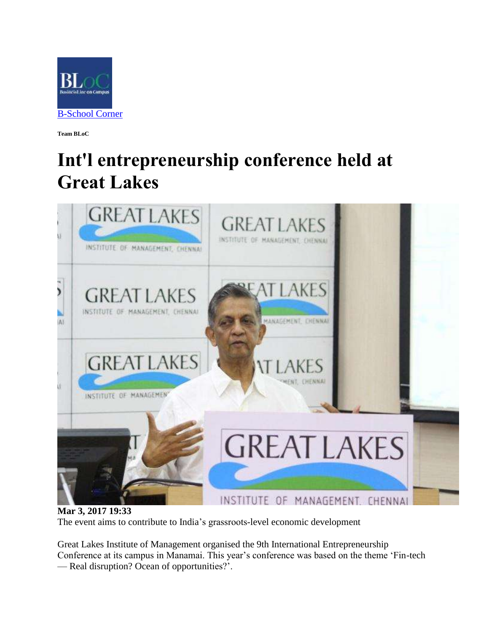

**Team BLoC**

## **Int'l entrepreneurship conference held at Great Lakes**



**Mar 3, 2017 19:33** The event aims to contribute to India's grassroots-level economic development

Great Lakes Institute of Management organised the 9th International Entrepreneurship Conference at its campus in Manamai. This year's conference was based on the theme 'Fin-tech — Real disruption? Ocean of opportunities?'.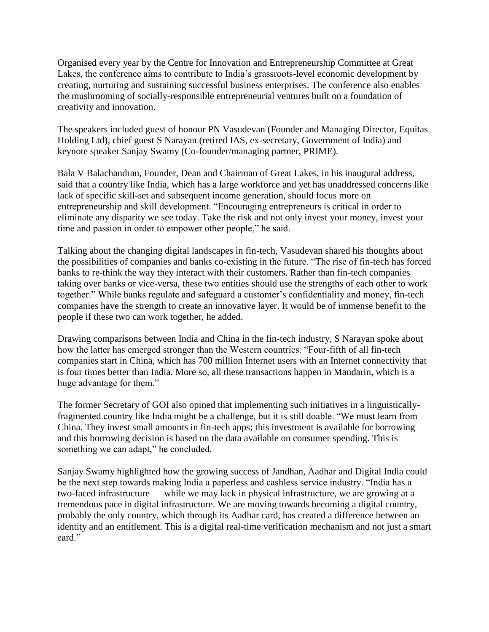Organised every year by the Centre for Innovation and Entrepreneurship Committee at Great Lakes, the conference aims to contribute to India's grassroots-level economic development by creating, nurturing and sustaining successful business enterprises. The conference also enables the mushrooming of socially-responsible entrepreneurial ventures built on a foundation of creativity and innovation.

The speakers included guest of honour PN Vasudevan (Founder and Managing Director, Equitas Holding Ltd), chief guest S Narayan (retired IAS, ex-secretary, Government of India) and keynote speaker Sanjay Swamy (Co-founder/managing partner, PRIME).

Bala V Balachandran, Founder, Dean and Chairman of Great Lakes, in his inaugural address, said that a country like India, which has a large workforce and yet has unaddressed concerns like lack of specific skill-set and subsequent income generation, should focus more on entrepreneurship and skill development. "Encouraging entrepreneurs is critical in order to eliminate any disparity we see today. Take the risk and not only invest your money, invest your time and passion in order to empower other people," he said.

Talking about the changing digital landscapes in fin-tech, Vasudevan shared his thoughts about the possibilities of companies and banks co-existing in the future. "The rise of fin-tech has forced banks to re-think the way they interact with their customers. Rather than fin-tech companies taking over banks or vice-versa, these two entities should use the strengths of each other to work together." While banks regulate and safeguard a customer's confidentiality and money, fin-tech companies have the strength to create an innovative layer. It would be of immense benefit to the people if these two can work together, he added.

Drawing comparisons between India and China in the fin-tech industry, S Narayan spoke about how the latter has emerged stronger than the Western countries. "Four-fifth of all fin-tech companies start in China, which has 700 million Internet users with an Internet connectivity that is four times better than India. More so, all these transactions happen in Mandarin, which is a huge advantage for them."

The former Secretary of GOI also opined that implementing such initiatives in a linguisticallyfragmented country like India might be a challenge, but it is still doable. "We must learn from China. They invest small amounts in fin-tech apps; this investment is available for borrowing and this borrowing decision is based on the data available on consumer spending. This is something we can adapt," he concluded.

Sanjay Swamy highlighted how the growing success of Jandhan, Aadhar and Digital India could be the next step towards making India a paperless and cashless service industry. "India has a two-faced infrastructure — while we may lack in physical infrastructure, we are growing at a tremendous pace in digital infrastructure. We are moving towards becoming a digital country, probably the only country, which through its Aadhar card, has created a difference between an identity and an entitlement. This is a digital real-time verification mechanism and not just a smart card."